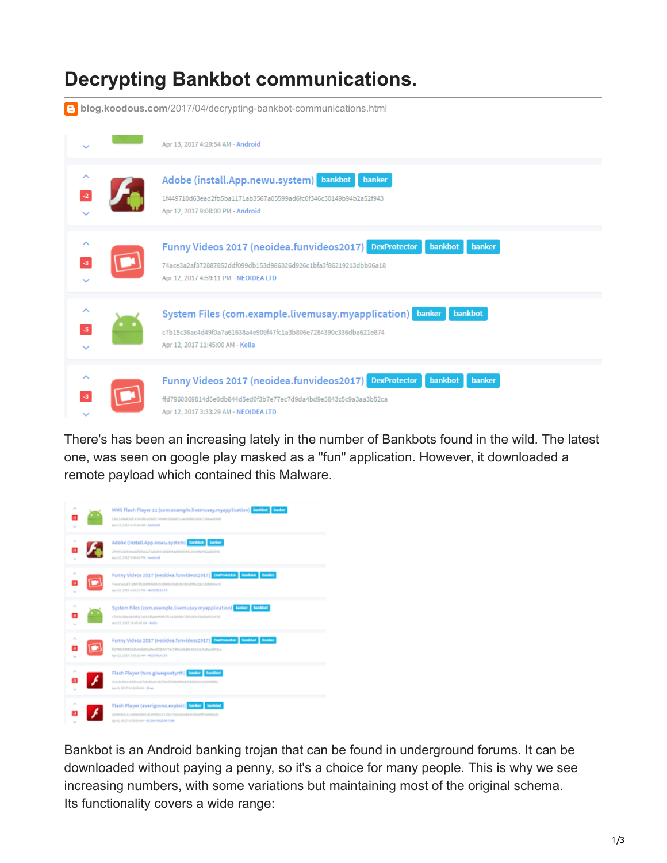## **Decrypting Bankbot communications.**

**blog.koodous.com**[/2017/04/decrypting-bankbot-communications.html](http://blog.koodous.com/2017/04/decrypting-bankbot-communications.html)



There's has been an increasing lately in the number of Bankbots found in the wild. The latest one, was seen on google play masked as a "fun" application. However, it downloaded a remote payload which contained this Malware.



Bankbot is an Android banking trojan that can be found in underground forums. It can be downloaded without paying a penny, so it's a choice for many people. This is why we see increasing numbers, with some variations but maintaining most of the original schema. Its functionality covers a wide range: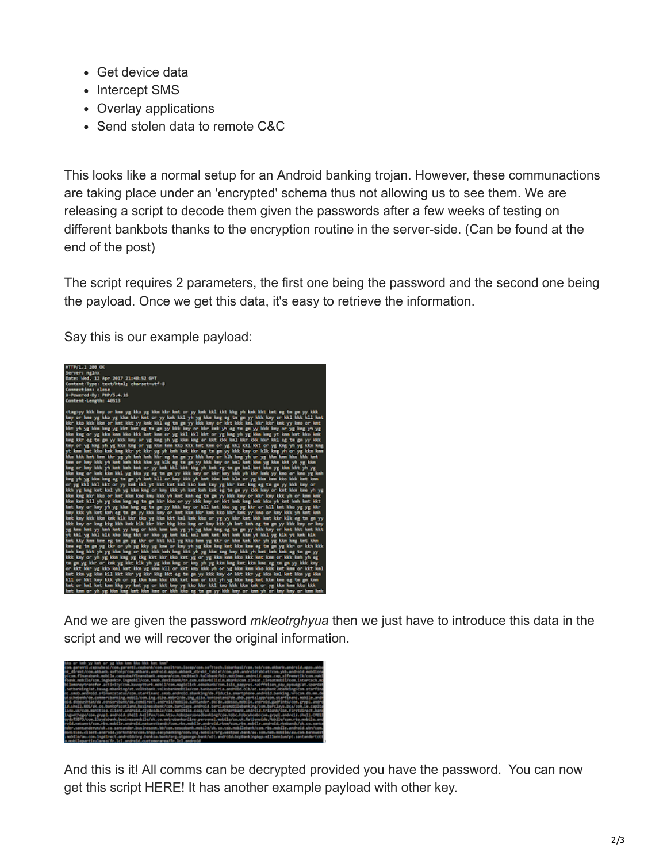- Get device data
- Intercept SMS
- Overlay applications
- Send stolen data to remote C&C

This looks like a normal setup for an Android banking trojan. However, these communactions are taking place under an 'encrypted' schema thus not allowing us to see them. We are releasing a script to decode them given the passwords after a few weeks of testing on different bankbots thanks to the encryption routine in the server-side. (Can be found at the end of the post)

The script requires 2 parameters, the first one being the password and the second one being the payload. Once we get this data, it's easy to retrieve the information.

Say this is our example payload:



And we are given the password *mkleotrghyua* then we just have to introduce this data in the script and we will recover the original information.



And this is it! All comms can be decrypted provided you have the password. You can now get this script **[HERE](https://gist.github.com/ineedblood/01dd714d9dd786f3c05a73aae4dfbaef)!** It has another example payload with other key.